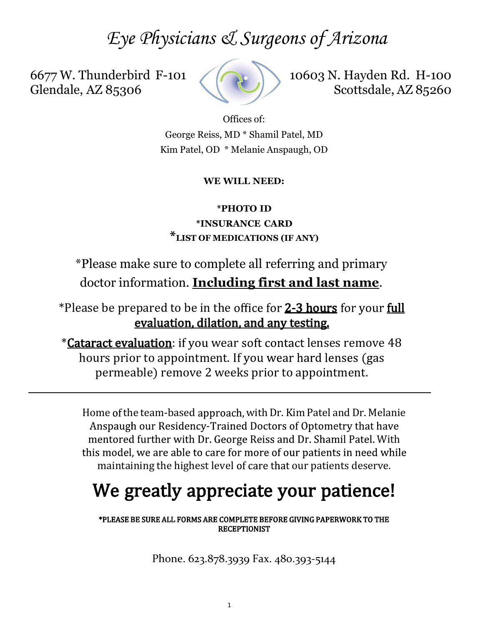# Eye Physicians & Surgeons of Arizona

6677 W. Thunderbird F-101 Glendale, AZ 85306



10603 N. Hayden Rd. H-100 Scottsdale, AZ 85260 Le Surgeons of Arizona<br>
10603 N. Hayden Rd. H-100<br>
Scottsdale, AZ 85260<br>
Offices of:<br>
MD<sup>\*</sup> Shamil Patel, MD<br>
Melanie Anspaugh, OD  $\mathcal{A}$  Surgeons of Arizona<br>
scottsdale, AZ 85260<br>
Offices of:<br>
s, MD \* Shamil Patel, MD<br>
Se WILL NEED:<br>
SHOTO ID<br>
E WILL NEED:<br>
\*PHOTO ID<br>
EURANCE CARD<br>
ALL NEED:

George Reiss, MD \* Shamil Patel, MD

# WE WILL NEED:

\*INSURANCE CARD \*LIST OF MEDICATIONS (IF ANY)

\*Please make sure to complete all referring and primary doctor information. Including first and last name.

\*Please be prepared to be in the office for 2-3 hours for your full evaluation, dilation, and any testing.

*\*Cataract evaluation:* if you wear soft contact lenses remove 48 hours prior to appointment. If you wear hard lenses (gas permeable) remove 2 weeks prior to appointment.

**EXECUTE THEORY THEORY THEOTES THEORY THEORY THEORY THEORY THEORY THEORY INTERENT CONDUCTOR THEORY THEORY THEORY THEORY THEORY THEORY THEORY THEORY THEORY THEORY THEORY THEORY THEORY THEORY THEORY THEORY THEORY THEORY THEO** Anspaugh our Residency-Trained Doctors of Optometry that have mentored further with Dr. George Reiss and Dr. Shamil Patel. With maintaining the highest level of care that our patients deserve.

# We greatly appreciate your patience!

\*PLEASE BE SURE ALL FORMS ARE COMPLETE BEFORE GIVING PAPERWORK TO THE **RECEPTIONIST** 

Phone. 623.878.3939 Fax. 480.393-5144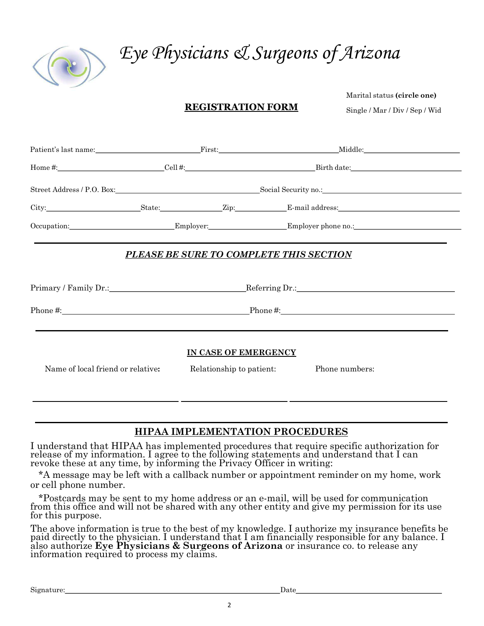

# Eye Physicians & Surgeons of Arizona<br>REGISTRATION FORM Marital status (circle one)

Arizona<br>Marital status (circle one)<br>Single / Mar / Div / Sep / Wid Single / Mar / Div / Sep / Wid

|                                   |                                                                                                                                                                                                                                                                                                                          | Eye Physicians & Surgeons of Arizona                                                                                                                                                                                          |  |
|-----------------------------------|--------------------------------------------------------------------------------------------------------------------------------------------------------------------------------------------------------------------------------------------------------------------------------------------------------------------------|-------------------------------------------------------------------------------------------------------------------------------------------------------------------------------------------------------------------------------|--|
|                                   | <b>REGISTRATION FORM</b>                                                                                                                                                                                                                                                                                                 | Marital status (circle one)<br>Single / Mar / Div / Sep / Wid                                                                                                                                                                 |  |
|                                   | Patient's last name: First:                                                                                                                                                                                                                                                                                              | Middle:                                                                                                                                                                                                                       |  |
|                                   |                                                                                                                                                                                                                                                                                                                          |                                                                                                                                                                                                                               |  |
|                                   | Street Address / P.O. Box: Social Security no.: Social Security no.:                                                                                                                                                                                                                                                     |                                                                                                                                                                                                                               |  |
|                                   |                                                                                                                                                                                                                                                                                                                          |                                                                                                                                                                                                                               |  |
|                                   | Occupation: Employer: Employer: Employer Employer phone no.:                                                                                                                                                                                                                                                             |                                                                                                                                                                                                                               |  |
|                                   | PLEASE BE SURE TO COMPLETE THIS SECTION                                                                                                                                                                                                                                                                                  |                                                                                                                                                                                                                               |  |
|                                   |                                                                                                                                                                                                                                                                                                                          |                                                                                                                                                                                                                               |  |
|                                   |                                                                                                                                                                                                                                                                                                                          |                                                                                                                                                                                                                               |  |
|                                   |                                                                                                                                                                                                                                                                                                                          |                                                                                                                                                                                                                               |  |
| Name of local friend or relative: | IN CASE OF EMERGENCY<br>Relationship to patient:                                                                                                                                                                                                                                                                         | Phone numbers:                                                                                                                                                                                                                |  |
|                                   | HIPAA IMPLEMENTATION PROCEDURES                                                                                                                                                                                                                                                                                          |                                                                                                                                                                                                                               |  |
| or cell phone number.             | I understand that HIPAA has implemented procedures that require specific authorization for release of my information. I agree to the following statements and understand that I can revoke these at any time, by informing the<br>*A message may be left with a callback number or appointment reminder on my home, work |                                                                                                                                                                                                                               |  |
| for this purpose.                 | *Postcards may be sent to my home address or an e-mail, will be used for communication<br>from this office and will not be shared with any other entity and give my permission for its use                                                                                                                               |                                                                                                                                                                                                                               |  |
|                                   | The above information is true to the best of my knowledge. I authorize my insurance benefits be paid directly to the physician. I understand that I am financially responsible for any balance. I also authorize $Eye$ Physici                                                                                           |                                                                                                                                                                                                                               |  |
|                                   |                                                                                                                                                                                                                                                                                                                          |                                                                                                                                                                                                                               |  |
|                                   |                                                                                                                                                                                                                                                                                                                          | Date and the set of the set of the set of the set of the set of the set of the set of the set of the set of the set of the set of the set of the set of the set of the set of the set of the set of the set of the set of the |  |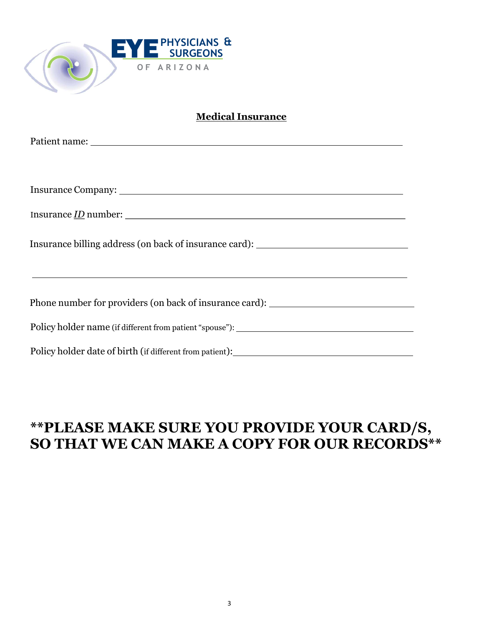

# **Medical Insurance**

| E PHYSICIANS &<br>E                                                                          |
|----------------------------------------------------------------------------------------------|
| OF ARIZONA                                                                                   |
| <b>Medical Insurance</b>                                                                     |
|                                                                                              |
|                                                                                              |
| Insurance billing address (on back of insurance card): _________________________             |
| Phone number for providers (on back of insurance card): _________________________            |
|                                                                                              |
| Policy holder date of birth (if different from patient): ________________________            |
| ** PLEASE MAKE SURE YOU PROVIDE YOUR CARD/S,<br>SO THAT WE CAN MAKE A COPY FOR OUR RECORDS** |

# \*\*PLEASE MAKE SURE YOU PROVIDE YOUR CARD/S,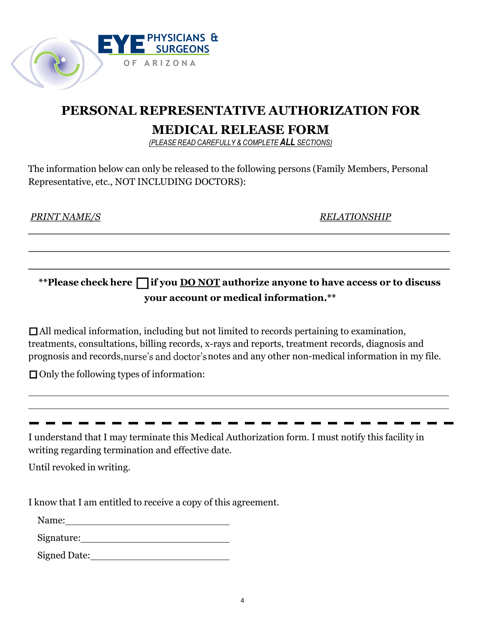

HYSICIANS &<br>
SURGEONS<br>
RIZONA<br> **EPRESENTATIVE AUTHORIZATION FOR<br>
MEDICAL RELEASE FORM<br>
PLEASE READ CAREFULLY & COMPLETE ALL SECTIONS**<br>
Uy be released to the following persons (Family Members, Personal<br>
L'LIDING DOCTORS): PHYSICIANS &<br>
RIZONA<br>
RIZONA<br> **EPRESENTATIVE AUTHORIZATION FOR<br>
MEDICAL RELEASE FORM**<br>
(PLEASE READ CAREFULLY & COMPLETE ALL SECTIONS)<br>
nly be released to the following persons (Family Members, Personal<br>CLUDING DOCTORS):

**PERSONAL REPRESENTATIVE AUTHORIZATION FOR<br>
MEDICAL RELEASE FORM<br>
PLEASE READ CAREFULLY & COMPLETE ALL SECTONS)**<br>
e information below can only be released to the following persons (Family Members, Personal<br>
presentative, e **REPRESENTATIVE AUTHORIZATION FOR<br>
MEDICAL RELEASE FORM**<br>
(*PLEASE READ CAREFULLY & COMPLETE ALL SECTIONS)*<br>
Donly be released to the following persons (Family Members, Personal<br>
NCLUDING DOCTORS):<br>
RELATIONSHIP<br>
Tifyou <u>D</u>

All medical information, including but not limited to records pertaining to examination, treatments, consultations, billing records, x-rays and reports, treatment records, diagnosis and prognosis and records, notes and any other non-medical information in my file. Only the following types of information: **EXECT THE INTEREFORMATE THE INTEREFORMATE ALTERATION ISSUE THAT INTEREFORMATE THAT I MEDICAL INCOLLERATIONS**, including but not limited to records pertaining to examination, treatments, consultations, billing records, x-\*\*Please check here  $\Box$  if you <u>DO NOT</u> authorize anyone to have access or to discuss<br>your account or medical information.<sup>\*\*</sup><br> $\Box$  All medical information, including but not limited to records pertaining to examination, \*\*Please check here  $\Box$  if you <u>DO NOT</u> authorize anyone to have ac<br>your account or medical information.\*\*<br> $\Box$  All medical information, including but not limited to records pertaining to ex<br>treatments, consultations, bi your account or medical information.<br>
TAll medical information, including but not limited to records pertaining to examination,<br>
treatments, consultations, billing records, x-rays and reports, treatment records, diagnosis

Signed Date:

Name: when the contract of the contract of the contract of the contract of the contract of the contract of the contract of the contract of the contract of the contract of the contract of the contract of the contract of the

Signature: Signature: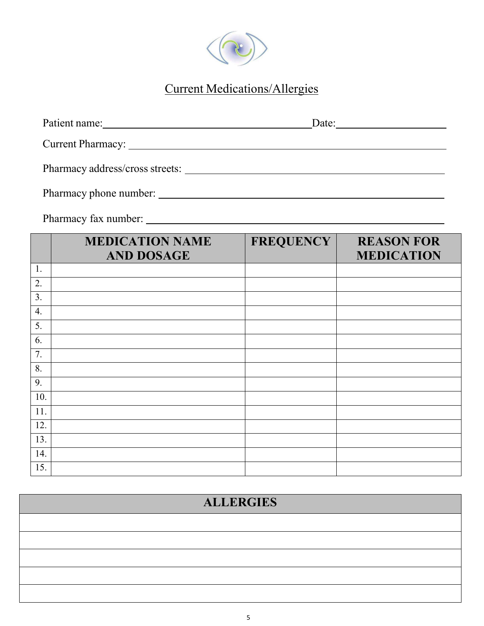

# Current Medications/Allergies

| Patient name:                                                                                                                                                                                                                       | Date: |
|-------------------------------------------------------------------------------------------------------------------------------------------------------------------------------------------------------------------------------------|-------|
| <b>Current Pharmacy:</b> The contract of the contract of the contract of the contract of the contract of the contract of the contract of the contract of the contract of the contract of the contract of the contract of the contra |       |
| Pharmacy address/cross streets:                                                                                                                                                                                                     |       |
| Pharmacy phone number:                                                                                                                                                                                                              |       |

Pharmacy fax number:

|                  | <b>MEDICATION NAME</b><br><b>AND DOSAGE</b> | <b>FREQUENCY</b> | <b>REASON FOR</b><br><b>MEDICATION</b> |
|------------------|---------------------------------------------|------------------|----------------------------------------|
| 1.               |                                             |                  |                                        |
| 2.               |                                             |                  |                                        |
| 3.               |                                             |                  |                                        |
| $\overline{4}$ . |                                             |                  |                                        |
| 5.               |                                             |                  |                                        |
| 6.               |                                             |                  |                                        |
| 7.               |                                             |                  |                                        |
| 8.               |                                             |                  |                                        |
| 9.               |                                             |                  |                                        |
| 10.              |                                             |                  |                                        |
| 11.              |                                             |                  |                                        |
| 12.              |                                             |                  |                                        |
| 13.              |                                             |                  |                                        |
| 14.              |                                             |                  |                                        |
| 15.              |                                             |                  |                                        |

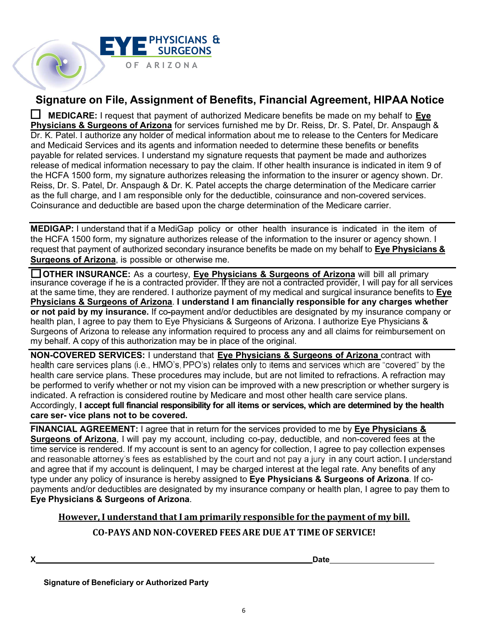

Signature on File, Assignment of Benefits, Financial Agreement, HIPAA Notice<br>
Signature on File, Assignment of Benefits, Financial Agreement, HIPAA Notice<br>
IN MEDICARE: I request that payment of authorized Medicare benefit **EXECT ANTITURE CONTROVER CONTROVER CONTROVER CONTROVER CONTROVER (SURFACT AUTHORIZE: I request that payment of authorized Medicare benefits be made on my behalf to <u>Eye</u><br>
MEDICARE: I request that payment of authorized Med PHYSICIANS & Surgeons of Arizona for Benefits, Financial Agreement, HIPAA Notice**<br> **Signature on File, Assignment of Benefits, Financial Agreement, HIPAA Notice**<br> **DIMENCARE:** I request that payment of authorized Medicare Dr. K. Patel. I authorize any holder of medical information about me to release to the Centers for Medicare and Medicaid Services and its agents and information needed to determine these benefits or benefits payable for related services. I understand my signature requests that payment be made and authorizes release of medical information necessary to pay the claim. If other health insurance is indicated in item 9 of the HCFA 1500 form, my signature authorizes releasing the information to the insurer or agency shown. Dr. **EXECUTE ASS, DR. ANSPECT ANS AND AND THE SURGEONS**<br>
Signature on File, Assignment of Benefits, Financial Agreement, HIPAA Notice<br>
DIMEDICARE: I request that payment of authorized Medicare benefits be made on my behalf to **EXECTS AS THE FULL CHARGE CONS**<br>
Signature on File, Assignment of Benefits, Financial Agreement, HIPAA Notice<br>
IMEDICARE: I request that payment of authorized Medicare benefits be made on my behalf to <u>Eve</u><br>
Physicians & **Consurance and FR**<br>
Consurance and determination of Benefits, Financial Agreement, HIPAA Notice<br>
Comparison of a subsective are based upon the determination of the Charge of Physicians & Surgeons of Arizona for services f **EXPRET ASSE ART ASSEM CONTROLL AND ART AND ART AND THE SURGEONS**<br>
The particular on File, Assignment of Benefits, Financial Agreement, HIPAA Notice<br>
In Medical as Surgeons of Arizona for standar policy or other health is **Example 1999** SURGEONS<br>
Signature on File, Assignment of Benefits, Financial Agreement, HIPAA Notice<br> **Example 1999**<br> **Example 1999**<br> **EXECUTE:** request that payment of authorized Medicare benefits be made on my behalf to **Surgeons of Arizon Arizon Content and Maria Content and Marine Content and Marine Content and Marine Content and Marine Content and Marine Content and Marine Content Content Content Content Content Content Content Content Signature on File, Assignment of Benefits, Financial Agreement, HIPAA Notice<br>
In MEDICARE: I request that payment of authorized Medicare benefits be made on my behalf to <u>Eve</u><br>
<b>Ehysicians & Surgeons of Arizona**</u> for ser **Signature on File, Assignment of Benefits, Financial Agreement, HIPAA Notice<br>
In MEDICARE: I request that payment of authorized Medicare benefits be made on my behalf to <u>Eve</u><br>
Physicians & Surgeons of Arizona for servic Example 19 The ASSignment of Benefits, Financial Agreement, HIPAA Notice**<br>
MEDICARE: I request that payment of authorized Medicare benefits be made on my behalf to <u>Eve</u><br>
Stratelland Services and its agents and informatio

the HCFA 1500 form, my signature authorizes release of the information to the insurer or agency shown. I

Physicians & Surgeons of Arizona. I understand I am financially responsible for any charges whether or not paid by my insurance. If co-payment and/or deductibles are designated by my insurance company or health plan, I agree to pay them to Eye Physicians & Surgeons of Arizona. I authorize Eye Physicians & Surgeons of Arizona to release any information required to process any and all claims for reimbursement on Dr. K. Petel, i automize any noter or meacla information about the to release to the Centers for welcomes and the matter in the contents of the centers of the centers of the centers of the center of the center of the endom payelbe for related services. I understand my signature requests that payent he medical information for the SCR of the FICA 1500 form, my signature authorizes releasing the information to the insure or agency shown. Dr.<br>Th Reiss, Dr. S. Patel, Dr. Anspaugh & Dr. K. Patel accepts the charge determination of the Medicare carrier<br>as the full charge, and I am responsible only for the deductibe, coinsurance and non-oversed services.<br>Coinsurance a as the full charge, and I am responsible only for the deductible, coinsurance and non-covered services.<br>Coinsurance and deductible are based upon the charge determination of the Medicare carrier.<br>MEDIGAP: I understand that Coinsurance and deductible are based upon the charge determination of the Medicare carrier.<br>
MEDIGAP: I understand that if a MediGap policy or other health insurance is indicated in the item of<br>
the HCFA 1500 form, my sign **MEDIGAP:** I understand that if a MediGap policy or other health insurance is indicated in the the HCFA 1500 form, my signature authorizes release of the information to the insurer or agency strequest that payment of autho the HCFA 1500 form, my signature authorizes release of the information to the insurer or agency shown. I<br>Surgeons of Mariponal of authorized secondary insurance benefits be made on my behalf to **Eve Physicians &**<br>Surgeons request that payment of authorized secondary insurance benefits be made on my behalf to <u>Eve Physicians & Current Weston</u>: In the service insurance coverage if he is a contracted provider. If they are not a contracted prov

health care service plans. These procedures may include, but are not limited to refractions. A refraction may

FINANCIAL AGREEMENT: I agree that in return for the services provided to me by Eye Physicians & and agree that if my account is delinquent, I may be charged interest at the legal rate. Any benefits of any type under any policy of insurance is hereby assigned to Eye Physicians & Surgeons of Arizona. If copayments and/or deductibles are designated by my insurance company or health plan, I agree to pay them to at the same interest and the between and surgeons of Arizona. However, However, However, The payment and Surgeons of Arizona. However, I understand that I am financially responsible for any charges whether or not paid by m cona to release any information required to process any and all claims for reimbursement on<br>yo of this authorization may be in place of the original.<br>Surgeons of Arizona contract with<br>ties plans (i.e., HMO's, PPO's) relate Interase is the service plans. These ploceduses large include, but are not imited to lend formed to verify whether or the priscipal can be improved with a new prescription or whether surgery is calced. A refraction is cons

X Date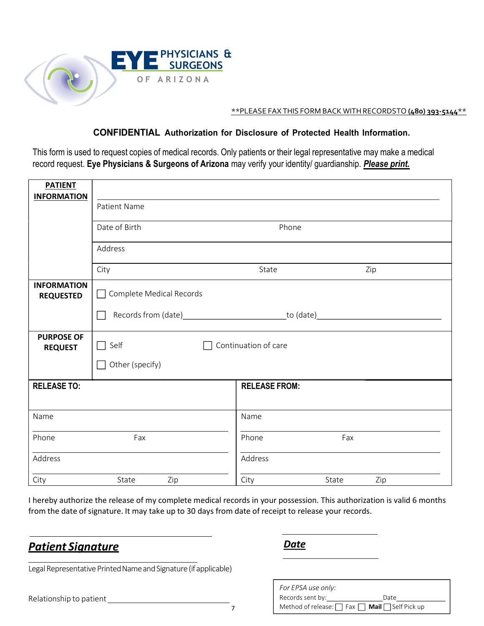

| <b>PHYSICIANS &amp;</b><br><b>SURGEONS</b><br>OF ARIZONA<br>**PLEASE FAX THIS FORM BACK WITH RECORDSTO (480) 393-5144 **<br><b>CONFIDENTIAL Authorization for Disclosure of Protected Health Information.</b><br>This form is used to request copies of medical records. Only patients or their legal representative may make a medical<br>record request. Eye Physicians & Surgeons of Arizona may verify your identity/ guardianship. Please print.<br><b>PATIENT</b><br><b>INFORMATION</b><br>Patient Name<br>Date of Birth<br>Phone<br>Address<br>Zip<br>City<br>State<br><b>INFORMATION</b><br>Complete Medical Records<br><b>REQUESTED</b><br>Records from (date)<br>_to (date)<br><b>PURPOSE OF</b><br>$\Box$ Self<br>Continuation of care<br><b>REQUEST</b><br>$\Box$ Other (specify)<br><b>RELEASE TO:</b><br><b>RELEASE FROM:</b><br>Name<br>Name |
|-------------------------------------------------------------------------------------------------------------------------------------------------------------------------------------------------------------------------------------------------------------------------------------------------------------------------------------------------------------------------------------------------------------------------------------------------------------------------------------------------------------------------------------------------------------------------------------------------------------------------------------------------------------------------------------------------------------------------------------------------------------------------------------------------------------------------------------------------------------|
|                                                                                                                                                                                                                                                                                                                                                                                                                                                                                                                                                                                                                                                                                                                                                                                                                                                             |
|                                                                                                                                                                                                                                                                                                                                                                                                                                                                                                                                                                                                                                                                                                                                                                                                                                                             |
|                                                                                                                                                                                                                                                                                                                                                                                                                                                                                                                                                                                                                                                                                                                                                                                                                                                             |
|                                                                                                                                                                                                                                                                                                                                                                                                                                                                                                                                                                                                                                                                                                                                                                                                                                                             |
|                                                                                                                                                                                                                                                                                                                                                                                                                                                                                                                                                                                                                                                                                                                                                                                                                                                             |
|                                                                                                                                                                                                                                                                                                                                                                                                                                                                                                                                                                                                                                                                                                                                                                                                                                                             |
|                                                                                                                                                                                                                                                                                                                                                                                                                                                                                                                                                                                                                                                                                                                                                                                                                                                             |
|                                                                                                                                                                                                                                                                                                                                                                                                                                                                                                                                                                                                                                                                                                                                                                                                                                                             |
|                                                                                                                                                                                                                                                                                                                                                                                                                                                                                                                                                                                                                                                                                                                                                                                                                                                             |
|                                                                                                                                                                                                                                                                                                                                                                                                                                                                                                                                                                                                                                                                                                                                                                                                                                                             |
|                                                                                                                                                                                                                                                                                                                                                                                                                                                                                                                                                                                                                                                                                                                                                                                                                                                             |
|                                                                                                                                                                                                                                                                                                                                                                                                                                                                                                                                                                                                                                                                                                                                                                                                                                                             |
|                                                                                                                                                                                                                                                                                                                                                                                                                                                                                                                                                                                                                                                                                                                                                                                                                                                             |
|                                                                                                                                                                                                                                                                                                                                                                                                                                                                                                                                                                                                                                                                                                                                                                                                                                                             |
|                                                                                                                                                                                                                                                                                                                                                                                                                                                                                                                                                                                                                                                                                                                                                                                                                                                             |
|                                                                                                                                                                                                                                                                                                                                                                                                                                                                                                                                                                                                                                                                                                                                                                                                                                                             |
|                                                                                                                                                                                                                                                                                                                                                                                                                                                                                                                                                                                                                                                                                                                                                                                                                                                             |
| Phone<br>Fax<br>Fax<br>Phone                                                                                                                                                                                                                                                                                                                                                                                                                                                                                                                                                                                                                                                                                                                                                                                                                                |
| Address<br>Address                                                                                                                                                                                                                                                                                                                                                                                                                                                                                                                                                                                                                                                                                                                                                                                                                                          |
| Zip<br>City<br>State<br>Zip<br>City<br>State                                                                                                                                                                                                                                                                                                                                                                                                                                                                                                                                                                                                                                                                                                                                                                                                                |
| I hereby authorize the release of my complete medical records in your possession. This authorization is valid 6 months<br>from the date of signature. It may take up to 30 days from date of receipt to release your records.                                                                                                                                                                                                                                                                                                                                                                                                                                                                                                                                                                                                                               |
| <b>Date</b><br><b>Patient Signature</b>                                                                                                                                                                                                                                                                                                                                                                                                                                                                                                                                                                                                                                                                                                                                                                                                                     |
| Legal Representative Printed Name and Signature (if applicable)                                                                                                                                                                                                                                                                                                                                                                                                                                                                                                                                                                                                                                                                                                                                                                                             |
| For EPSA use only:<br>Date<br>Relationship to patient                                                                                                                                                                                                                                                                                                                                                                                                                                                                                                                                                                                                                                                                                                                                                                                                       |
| Method of release: $\Box$ Fax $\Box$ Mail $\Box$ Self Pick up<br>$\overline{7}$                                                                                                                                                                                                                                                                                                                                                                                                                                                                                                                                                                                                                                                                                                                                                                             |

| Legal Representative Printed Name and Signature (if applicable) |  |  |  |
|-----------------------------------------------------------------|--|--|--|
|-----------------------------------------------------------------|--|--|--|

| For EPSA use only:                                            |      |
|---------------------------------------------------------------|------|
| Records sent by:                                              | Date |
| Method of release: $\Box$ Fax $\Box$ Mail $\Box$ Self Pick up |      |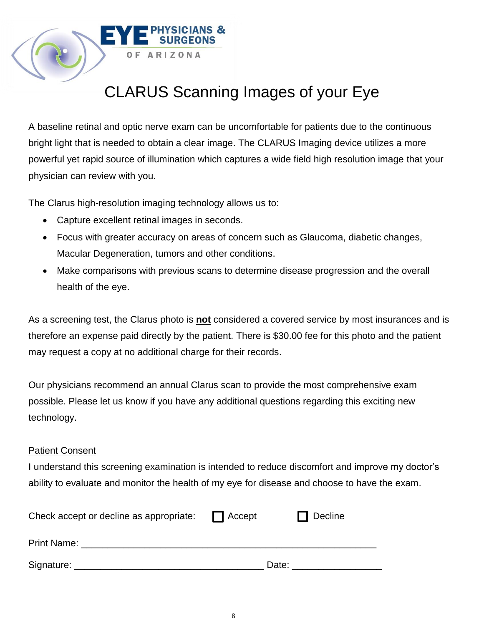# CLARUS Scanning Images of your Eye

A baseline retinal and optic nerve exam can be uncomfortable for patients due to the continuous bright light that is needed to obtain a clear image. The CLARUS Imaging device utilizes a more powerful yet rapid source of illumination which captures a wide field high resolution image that your physician can review with you.

The Clarus high-resolution imaging technology allows us to:

**ARIZONA** 

- Capture excellent retinal images in seconds.
- Focus with greater accuracy on areas of concern such as Glaucoma, diabetic changes, Macular Degeneration, tumors and other conditions.
- Make comparisons with previous scans to determine disease progression and the overall health of the eye.

As a screening test, the Clarus photo is **not** considered a covered service by most insurances and is therefore an expense paid directly by the patient. There is \$30.00 fee for this photo and the patient may request a copy at no additional charge for their records.

Our physicians recommend an annual Clarus scan to provide the most comprehensive exam possible. Please let us know if you have any additional questions regarding this exciting new technology.

## Patient Consent

I understand this screening examination is intended to reduce discomfort and improve my doctor's ability to evaluate and monitor the health of my eye for disease and choose to have the exam.

| Check accept or decline as appropriate: | Accept | Decline |
|-----------------------------------------|--------|---------|
| <b>Print Name:</b>                      |        |         |
| Signature:                              | Date:  |         |